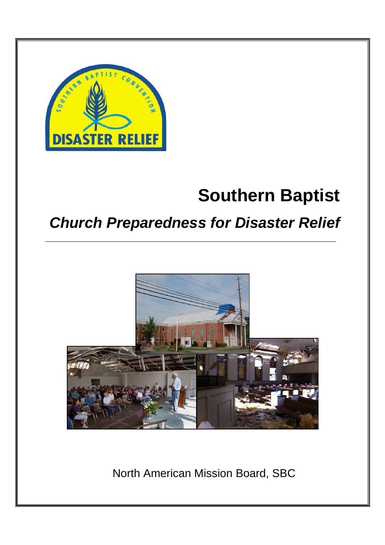

# **Southern Baptist**

## *Church Preparedness for Disaster Relief*

**\_\_\_\_\_\_\_\_\_\_\_\_\_\_\_\_\_\_\_\_\_\_\_\_\_\_\_\_\_\_\_\_\_\_\_\_\_\_\_\_\_\_\_\_\_\_\_\_\_\_\_\_**



North American Mission Board, SBC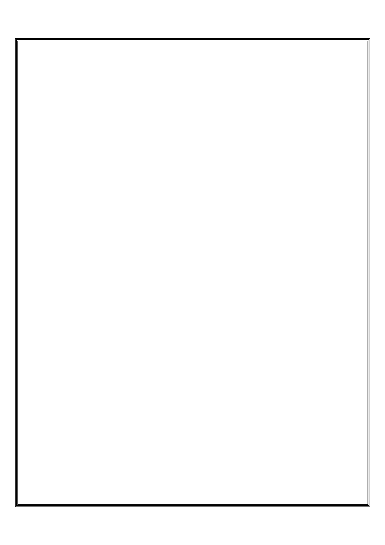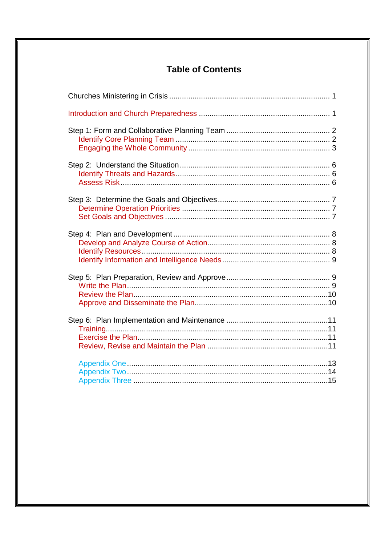## **Table of Contents**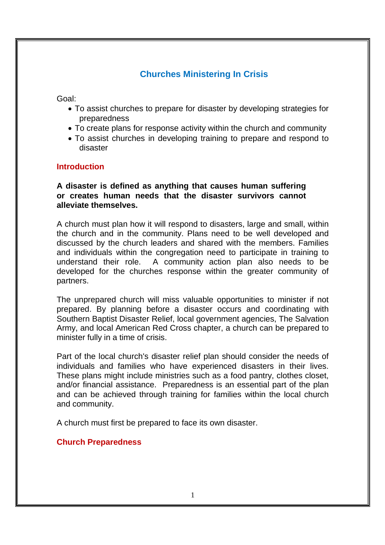## **Churches Ministering In Crisis**

Goal:

- To assist churches to prepare for disaster by developing strategies for preparedness
- To create plans for response activity within the church and community
- To assist churches in developing training to prepare and respond to disaster

#### **Introduction**

#### **A disaster is defined as anything that causes human suffering or creates human needs that the disaster survivors cannot alleviate themselves.**

A church must plan how it will respond to disasters, large and small, within the church and in the community. Plans need to be well developed and discussed by the church leaders and shared with the members. Families and individuals within the congregation need to participate in training to understand their role. A community action plan also needs to be developed for the churches response within the greater community of partners.

The unprepared church will miss valuable opportunities to minister if not prepared. By planning before a disaster occurs and coordinating with Southern Baptist Disaster Relief, local government agencies, The Salvation Army, and local American Red Cross chapter, a church can be prepared to minister fully in a time of crisis.

Part of the local church's disaster relief plan should consider the needs of individuals and families who have experienced disasters in their lives. These plans might include ministries such as a food pantry, clothes closet, and/or financial assistance. Preparedness is an essential part of the plan and can be achieved through training for families within the local church and community.

A church must first be prepared to face its own disaster.

#### **Church Preparedness**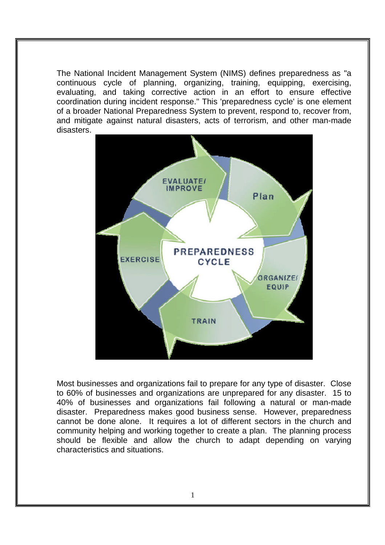The National Incident Management System (NIMS) defines preparedness as "a continuous cycle of planning, organizing, training, equipping, exercising, evaluating, and taking corrective action in an effort to ensure effective coordination during incident response." This 'preparedness cycle' is one element of a broader National Preparedness System to prevent, respond to, recover from, and mitigate against natural disasters, acts of terrorism, and other man-made disasters.



Most businesses and organizations fail to prepare for any type of disaster. Close to 60% of businesses and organizations are unprepared for any disaster. 15 to 40% of businesses and organizations fail following a natural or man-made disaster. Preparedness makes good business sense. However, preparedness cannot be done alone. It requires a lot of different sectors in the church and community helping and working together to create a plan. The planning process should be flexible and allow the church to adapt depending on varying characteristics and situations.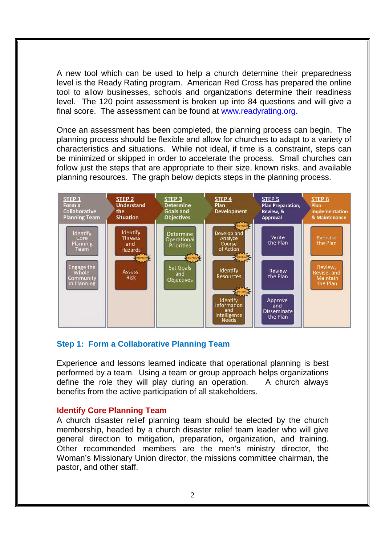A new tool which can be used to help a church determine their preparedness level is the Ready Rating program. American Red Cross has prepared the online tool to allow businesses, schools and organizations determine their readiness level. The 120 point assessment is broken up into 84 questions and will give a final score. The assessment can be found at www.readyrating.org.

Once an assessment has been completed, the planning process can begin. The planning process should be flexible and allow for churches to adapt to a variety of characteristics and situations. While not ideal, if time is a constraint, steps can be minimized or skipped in order to accelerate the process. Small churches can follow just the steps that are appropriate to their size, known risks, and available planning resources. The graph below depicts steps in the planning process.



#### **Step 1: Form a Collaborative Planning Team**

Experience and lessons learned indicate that operational planning is best performed by a team. Using a team or group approach helps organizations define the role they will play during an operation. A church always benefits from the active participation of all stakeholders.

#### **Identify Core Planning Team**

A church disaster relief planning team should be elected by the church membership, headed by a church disaster relief team leader who will give general direction to mitigation, preparation, organization, and training. Other recommended members are the men's ministry director, the Woman's Missionary Union director, the missions committee chairman, the pastor, and other staff.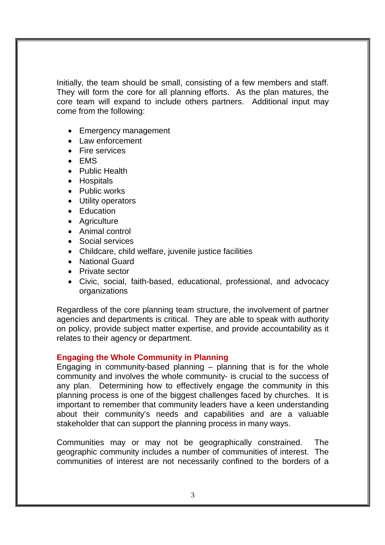Initially, the team should be small, consisting of a few members and staff. They will form the core for all planning efforts. As the plan matures, the core team will expand to include others partners. Additional input may come from the following:

- Emergency management
- Law enforcement
- Fire services
- EMS
- Public Health
- Hospitals
- Public works
- Utility operators
- Education
- Agriculture
- Animal control
- Social services
- Childcare, child welfare, juvenile justice facilities
- National Guard
- Private sector
- Civic, social, faith-based, educational, professional, and advocacy organizations

Regardless of the core planning team structure, the involvement of partner agencies and departments is critical. They are able to speak with authority on policy, provide subject matter expertise, and provide accountability as it relates to their agency or department.

#### **Engaging the Whole Community in Planning**

Engaging in community-based planning – planning that is for the whole community and involves the whole community- is crucial to the success of any plan. Determining how to effectively engage the community in this planning process is one of the biggest challenges faced by churches. It is important to remember that community leaders have a keen understanding about their community's needs and capabilities and are a valuable stakeholder that can support the planning process in many ways.

Communities may or may not be geographically constrained. The geographic community includes a number of communities of interest. The communities of interest are not necessarily confined to the borders of a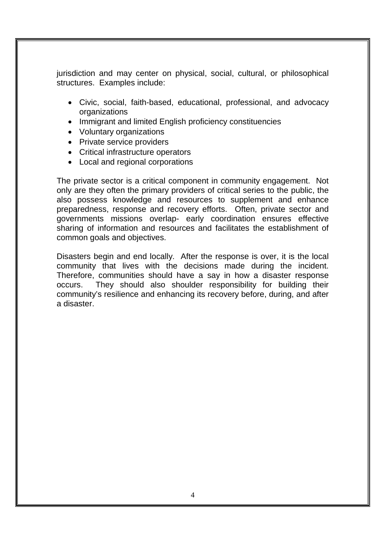jurisdiction and may center on physical, social, cultural, or philosophical structures. Examples include:

- Civic, social, faith-based, educational, professional, and advocacy organizations
- Immigrant and limited English proficiency constituencies
- Voluntary organizations
- Private service providers
- Critical infrastructure operators
- Local and regional corporations

The private sector is a critical component in community engagement. Not only are they often the primary providers of critical series to the public, the also possess knowledge and resources to supplement and enhance preparedness, response and recovery efforts. Often, private sector and governments missions overlap- early coordination ensures effective sharing of information and resources and facilitates the establishment of common goals and objectives.

Disasters begin and end locally. After the response is over, it is the local community that lives with the decisions made during the incident. Therefore, communities should have a say in how a disaster response occurs. They should also shoulder responsibility for building their community's resilience and enhancing its recovery before, during, and after a disaster.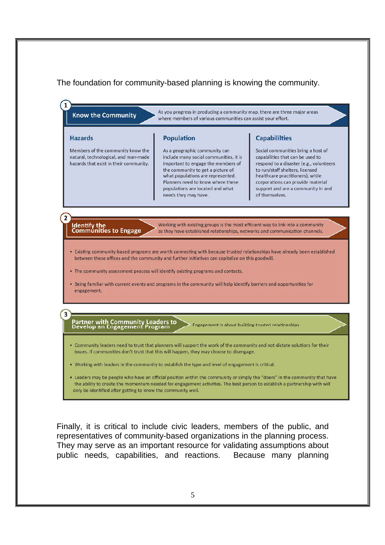#### The foundation for community-based planning is knowing the community.



Finally, it is critical to include civic leaders, members of the public, and representatives of community-based organizations in the planning process. They may serve as an important resource for validating assumptions about public needs, capabilities, and reactions. Because many planning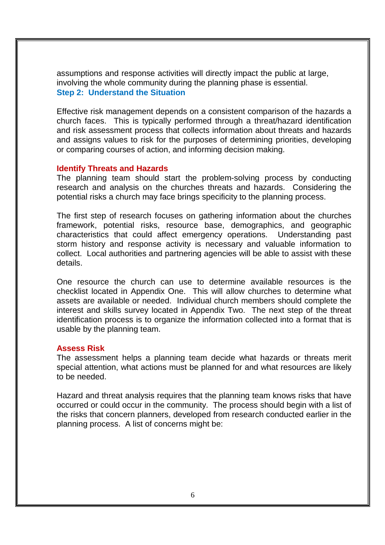assumptions and response activities will directly impact the public at large, involving the whole community during the planning phase is essential. **Step 2: Understand the Situation**

Effective risk management depends on a consistent comparison of the hazards a church faces. This is typically performed through a threat/hazard identification and risk assessment process that collects information about threats and hazards and assigns values to risk for the purposes of determining priorities, developing or comparing courses of action, and informing decision making.

#### **Identify Threats and Hazards**

The planning team should start the problem-solving process by conducting research and analysis on the churches threats and hazards. Considering the potential risks a church may face brings specificity to the planning process.

The first step of research focuses on gathering information about the churches framework, potential risks, resource base, demographics, and geographic characteristics that could affect emergency operations. Understanding past storm history and response activity is necessary and valuable information to collect. Local authorities and partnering agencies will be able to assist with these details.

One resource the church can use to determine available resources is the checklist located in Appendix One. This will allow churches to determine what assets are available or needed. Individual church members should complete the interest and skills survey located in Appendix Two. The next step of the threat identification process is to organize the information collected into a format that is usable by the planning team.

#### **Assess Risk**

The assessment helps a planning team decide what hazards or threats merit special attention, what actions must be planned for and what resources are likely to be needed.

Hazard and threat analysis requires that the planning team knows risks that have occurred or could occur in the community. The process should begin with a list of the risks that concern planners, developed from research conducted earlier in the planning process. A list of concerns might be: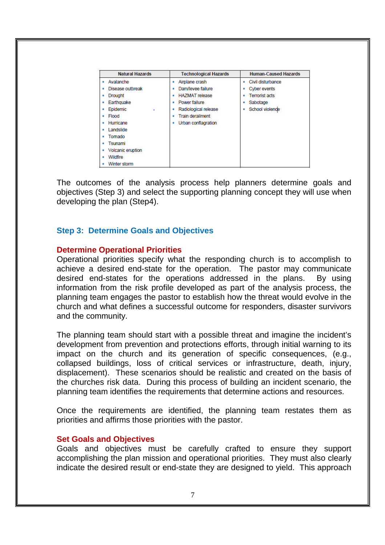| <b>Natural Hazards</b>                                                                                                                                                                      | <b>Technological Hazards</b>                                                                                                                                      | <b>Human-Caused Hazards</b>                                                                      |
|---------------------------------------------------------------------------------------------------------------------------------------------------------------------------------------------|-------------------------------------------------------------------------------------------------------------------------------------------------------------------|--------------------------------------------------------------------------------------------------|
| Avalanche<br>Disease outbreak<br><b>Drought</b><br>Earthquake<br>Epidemic<br>Flood<br>Humicane<br>Landslide<br>Tomado<br>Tsunami<br>Volcanic eruption<br>٠<br>Wildfire<br>٠<br>Winter storm | Airplane crash<br>٠<br>Dam/levee failure<br><b>HAZMAT</b> release<br>Power failure<br>Radiological release<br>٠<br><b>Train derailment</b><br>Urban conflagration | Civil disturbance<br><b>Cyber events</b><br><b>Terrorist acts</b><br>Sabotage<br>School violence |

The outcomes of the analysis process help planners determine goals and objectives (Step 3) and select the supporting planning concept they will use when developing the plan (Step4).

#### **Step 3: Determine Goals and Objectives**

#### **Determine Operational Priorities**

Operational priorities specify what the responding church is to accomplish to achieve a desired end-state for the operation. The pastor may communicate desired end-states for the operations addressed in the plans. By using information from the risk profile developed as part of the analysis process, the planning team engages the pastor to establish how the threat would evolve in the church and what defines a successful outcome for responders, disaster survivors and the community.

The planning team should start with a possible threat and imagine the incident's development from prevention and protections efforts, through initial warning to its impact on the church and its generation of specific consequences, (e.g., collapsed buildings, loss of critical services or infrastructure, death, injury, displacement). These scenarios should be realistic and created on the basis of the churches risk data. During this process of building an incident scenario, the planning team identifies the requirements that determine actions and resources.

Once the requirements are identified, the planning team restates them as priorities and affirms those priorities with the pastor.

#### **Set Goals and Objectives**

Goals and objectives must be carefully crafted to ensure they support accomplishing the plan mission and operational priorities. They must also clearly indicate the desired result or end-state they are designed to yield. This approach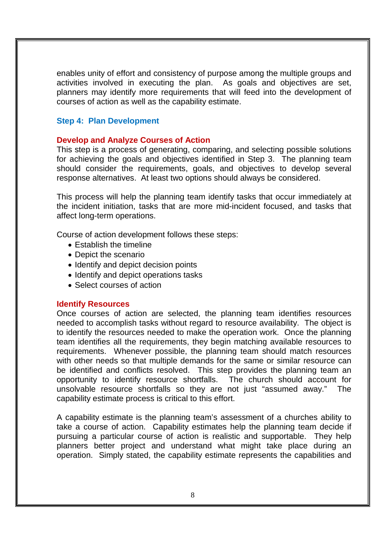enables unity of effort and consistency of purpose among the multiple groups and activities involved in executing the plan. As goals and objectives are set, planners may identify more requirements that will feed into the development of courses of action as well as the capability estimate.

#### **Step 4: Plan Development**

#### **Develop and Analyze Courses of Action**

This step is a process of generating, comparing, and selecting possible solutions for achieving the goals and objectives identified in Step 3. The planning team should consider the requirements, goals, and objectives to develop several response alternatives. At least two options should always be considered.

This process will help the planning team identify tasks that occur immediately at the incident initiation, tasks that are more mid-incident focused, and tasks that affect long-term operations.

Course of action development follows these steps:

- Establish the timeline
- Depict the scenario
- **.** Identify and depict decision points
- **I** Identify and depict operations tasks
- Select courses of action

#### **Identify Resources**

Once courses of action are selected, the planning team identifies resources needed to accomplish tasks without regard to resource availability. The object is to identify the resources needed to make the operation work. Once the planning team identifies all the requirements, they begin matching available resources to requirements. Whenever possible, the planning team should match resources with other needs so that multiple demands for the same or similar resource can be identified and conflicts resolved. This step provides the planning team an opportunity to identify resource shortfalls. The church should account for unsolvable resource shortfalls so they are not just "assumed away." The capability estimate process is critical to this effort.

A capability estimate is the planning team's assessment of a churches ability to take a course of action. Capability estimates help the planning team decide if pursuing a particular course of action is realistic and supportable. They help planners better project and understand what might take place during an operation. Simply stated, the capability estimate represents the capabilities and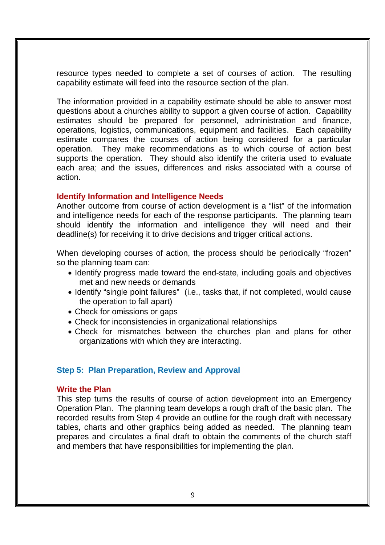resource types needed to complete a set of courses of action. The resulting capability estimate will feed into the resource section of the plan.

The information provided in a capability estimate should be able to answer most questions about a churches ability to support a given course of action. Capability estimates should be prepared for personnel, administration and finance, operations, logistics, communications, equipment and facilities. Each capability estimate compares the courses of action being considered for a particular operation. They make recommendations as to which course of action best supports the operation. They should also identify the criteria used to evaluate each area; and the issues, differences and risks associated with a course of action.

#### **Identify Information and Intelligence Needs**

Another outcome from course of action development is a "list" of the information and intelligence needs for each of the response participants. The planning team should identify the information and intelligence they will need and their deadline(s) for receiving it to drive decisions and trigger critical actions.

When developing courses of action, the process should be periodically "frozen" so the planning team can:

- Identify progress made toward the end-state, including goals and objectives met and new needs or demands
- Identify "single point failures" (i.e., tasks that, if not completed, would cause the operation to fall apart)
- Check for omissions or gaps
- Check for inconsistencies in organizational relationships
- Check for mismatches between the churches plan and plans for other organizations with which they are interacting.

#### **Step 5: Plan Preparation, Review and Approval**

#### **Write the Plan**

This step turns the results of course of action development into an Emergency Operation Plan. The planning team develops a rough draft of the basic plan. The recorded results from Step 4 provide an outline for the rough draft with necessary tables, charts and other graphics being added as needed. The planning team prepares and circulates a final draft to obtain the comments of the church staff and members that have responsibilities for implementing the plan.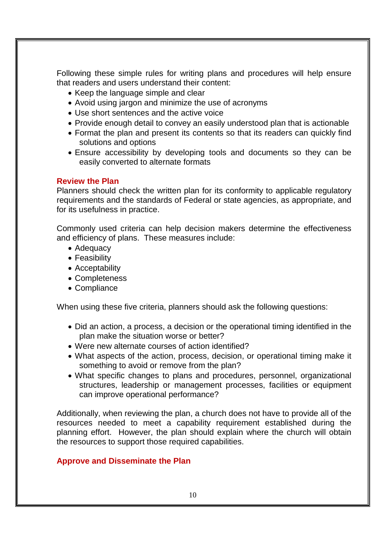Following these simple rules for writing plans and procedures will help ensure that readers and users understand their content:

- Keep the language simple and clear
- Avoid using jargon and minimize the use of acronyms
- Use short sentences and the active voice
- Provide enough detail to convey an easily understood plan that is actionable
- Format the plan and present its contents so that its readers can quickly find solutions and options
- **Ensure accessibility by developing tools and documents so they can be** easily converted to alternate formats

#### **Review the Plan**

Planners should check the written plan for its conformity to applicable regulatory requirements and the standards of Federal or state agencies, as appropriate, and for its usefulness in practice.

Commonly used criteria can help decision makers determine the effectiveness and efficiency of plans. These measures include:

- Adequacy
- Feasibility
- Acceptability
- Completeness
- Compliance

When using these five criteria, planners should ask the following questions:

- Did an action, a process, a decision or the operational timing identified in the plan make the situation worse or better?
- Were new alternate courses of action identified?
- What aspects of the action, process, decision, or operational timing make it something to avoid or remove from the plan?
- What specific changes to plans and procedures, personnel, organizational structures, leadership or management processes, facilities or equipment can improve operational performance?

Additionally, when reviewing the plan, a church does not have to provide all of the resources needed to meet a capability requirement established during the planning effort. However, the plan should explain where the church will obtain the resources to support those required capabilities.

#### **Approve and Disseminate the Plan**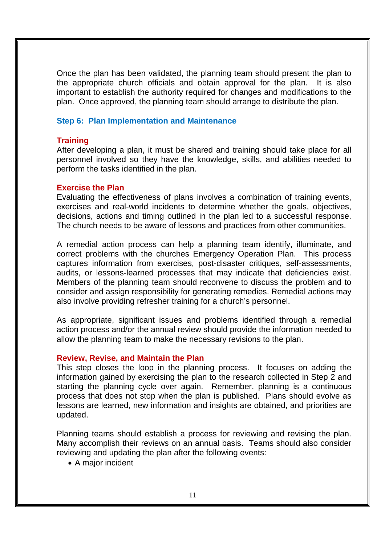Once the plan has been validated, the planning team should present the plan to the appropriate church officials and obtain approval for the plan. It is also important to establish the authority required for changes and modifications to the plan. Once approved, the planning team should arrange to distribute the plan.

#### **Step 6: Plan Implementation and Maintenance**

#### **Training**

After developing a plan, it must be shared and training should take place for all personnel involved so they have the knowledge, skills, and abilities needed to perform the tasks identified in the plan.

#### **Exercise the Plan**

Evaluating the effectiveness of plans involves a combination of training events, exercises and real-world incidents to determine whether the goals, objectives, decisions, actions and timing outlined in the plan led to a successful response. The church needs to be aware of lessons and practices from other communities.

A remedial action process can help a planning team identify, illuminate, and correct problems with the churches Emergency Operation Plan. This process captures information from exercises, post-disaster critiques, self-assessments, audits, or lessons-learned processes that may indicate that deficiencies exist. Members of the planning team should reconvene to discuss the problem and to consider and assign responsibility for generating remedies. Remedial actions may also involve providing refresher training for a church's personnel.

As appropriate, significant issues and problems identified through a remedial action process and/or the annual review should provide the information needed to allow the planning team to make the necessary revisions to the plan.

#### **Review, Revise, and Maintain the Plan**

This step closes the loop in the planning process. It focuses on adding the information gained by exercising the plan to the research collected in Step 2 and starting the planning cycle over again. Remember, planning is a continuous process that does not stop when the plan is published. Plans should evolve as lessons are learned, new information and insights are obtained, and priorities are updated.

Planning teams should establish a process for reviewing and revising the plan. Many accomplish their reviews on an annual basis. Teams should also consider reviewing and updating the plan after the following events:

• A major incident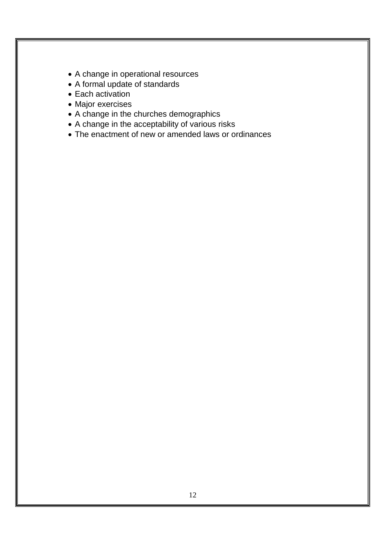- A change in operational resources
- A formal update of standards
- Each activation
- Major exercises
- A change in the churches demographics
- A change in the acceptability of various risks
- The enactment of new or amended laws or ordinances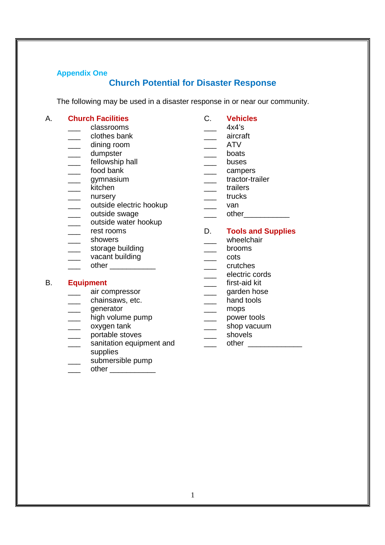#### **Appendix One**

### **Church Potential for Disaster Response**

The following may be used in a disaster response in or near our community.

#### A. **Church Facilities**

- \_\_\_ classrooms
	- \_\_\_ clothes bank
	- dining room
	- dumpster
	- fellowship hall
	- food bank
	- \_\_\_ gymnasium
	- \_\_\_ kitchen<br>\_\_\_ nursery
	- nursery
	- \_\_\_ outside electric hookup
	- \_\_\_ outside swage
	- \_\_\_ outside water hookup
	- \_\_\_ rest rooms
	- \_\_\_ showers
	- \_\_\_ storage building
	- vacant building
	- \_\_\_ other \_\_\_\_\_\_\_\_\_\_\_

#### B. **Equipment**

- air compressor
- \_\_\_ chainsaws, etc.

#### generator

- high volume pump
- oxygen tank
- \_\_\_ portable stoves
- sanitation equipment and \_\_\_\_
- supplies
- \_\_\_ submersible pump
- \_\_\_ other \_\_\_\_\_\_\_\_\_\_\_

#### C. **Vehicles**

- $\frac{4x4}{s}$ \_\_\_ aircraft
- \_\_\_ ATV
- \_\_\_ boats
- \_\_\_ buses
- \_\_\_ campers
- \_\_\_ tractor-trailer
- \_\_\_ trailers
- \_\_\_ trucks
- \_\_\_ van
- \_\_\_\_ other\_\_\_\_\_\_\_\_\_\_\_

#### D. **Tools and Supplies**

- \_\_\_ wheelchair
- \_\_\_ brooms
- \_\_\_ cots
- $\qquad \qquad -$  crutches
- electric cords
- first-aid kit
- \_\_\_ garden hose
- hand tools  $\frac{1}{\sqrt{2}}$  hand the mops power
- 
- \_\_\_ power tools<br>shop vacuur
- shop vacuum
- \_\_\_ shovels
	- \_\_\_ other \_\_\_\_\_\_\_\_\_\_\_\_\_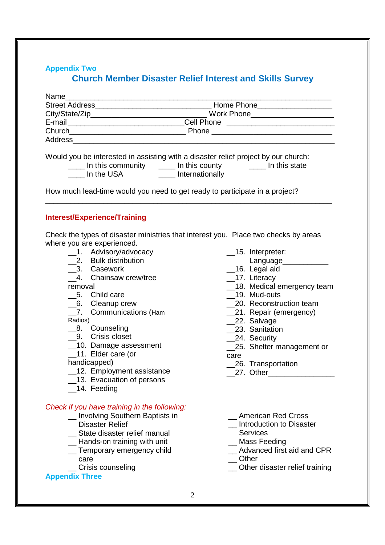## **Appendix Two**

## **Church Member Disaster Relief Interest and Skills Survey**

| Name                  |            |  |
|-----------------------|------------|--|
| <b>Street Address</b> | Home Phone |  |
| City/State/Zip_       | Work Phone |  |
| E-mail                | Cell Phone |  |
| Church                | Phone      |  |
| Address               |            |  |

Would you be interested in assisting with a disaster relief project by our church:

| . In this community | In this county  | In this state |
|---------------------|-----------------|---------------|
| In the USA          | Internationally |               |

\_\_\_\_\_\_\_\_\_\_\_\_\_\_\_\_\_\_\_\_\_\_\_\_\_\_\_\_\_\_\_\_\_\_\_\_\_\_\_\_\_\_\_\_\_\_\_\_\_\_\_\_\_\_\_\_\_\_\_\_\_\_\_\_\_\_\_\_\_

How much lead-time would you need to get ready to participate in a project?

#### **Interest/Experience/Training**

Check the types of disaster ministries that interest you. Place two checks by areas where you are experienced.

- \_\_1. Advisory/advocacy
- \_\_2. Bulk distribution
- \_\_3. Casework
- 4. Chainsaw crew/tree

removal

- \_\_5. Child care
- \_\_6. Cleanup crew
- \_\_7. Communications (Ham Radios)
- 8. Counseling
- \_\_9. Crisis closet
- \_\_10. Damage assessment
- \_\_11. Elder care (or

handicapped)

- \_\_12. Employment assistance
- \_\_13. Evacuation of persons
- \_\_14. Feeding

#### *Check if you have training in the following:*

- \_\_ Involving Southern Baptists in
	- Disaster Relief
- \_\_ State disaster relief manual
- \_\_ Hands-on training with unit
- \_\_ Temporary emergency child care

\_\_ Crisis counseling

#### **Appendix Three**

- \_\_15. Interpreter:
	- Language
- \_\_16. Legal aid
- \_\_17. Literacy
- \_\_18. Medical emergency team
- \_\_19. Mud-outs
- \_\_20. Reconstruction team
- <sup>--</sup>21. Repair (emergency)
- \_\_22. Salvage
- \_\_23. Sanitation
- \_\_24. Security
	- \_\_25. Shelter management or
- care
- \_\_26. Transportation
- \_\_27. Other\_\_\_\_\_\_\_\_\_\_\_\_\_\_\_\_
	- \_\_ American Red Cross
	- \_\_ Introduction to Disaster Services
	- \_\_ Mass Feeding
	- \_\_ Advanced first aid and CPR
	- \_\_ Other
	- \_\_ Other disaster relief training